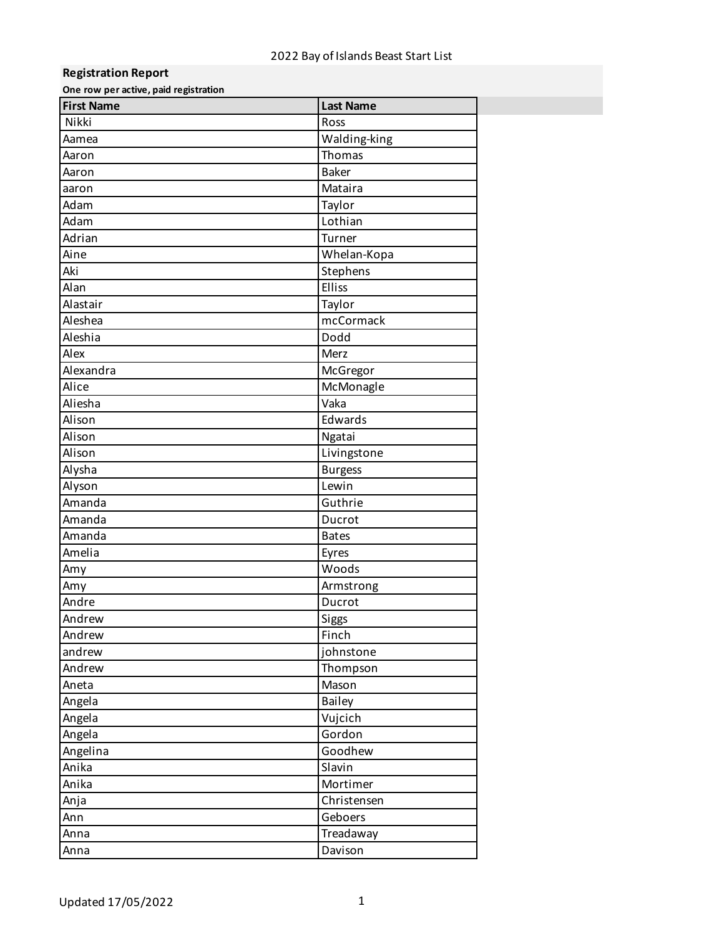## **Registration Report**

**One row per active, paid registration**

| <b>First Name</b> | <b>Last Name</b> |
|-------------------|------------------|
| Nikki             | Ross             |
| Aamea             | Walding-king     |
| Aaron             | Thomas           |
| Aaron             | <b>Baker</b>     |
| aaron             | Mataira          |
| Adam              | Taylor           |
| Adam              | Lothian          |
| Adrian            | Turner           |
| Aine              | Whelan-Kopa      |
| Aki               | Stephens         |
| Alan              | Elliss           |
| Alastair          | Taylor           |
| Aleshea           | mcCormack        |
| Aleshia           | Dodd             |
| Alex              | Merz             |
| Alexandra         | McGregor         |
| Alice             | McMonagle        |
| Aliesha           | Vaka             |
| Alison            | Edwards          |
| Alison            | Ngatai           |
| Alison            | Livingstone      |
| Alysha            | <b>Burgess</b>   |
| Alyson            | Lewin            |
| Amanda            | Guthrie          |
| Amanda            | Ducrot           |
| Amanda            | <b>Bates</b>     |
| Amelia            | Eyres            |
| Amy               | Woods            |
| Amy               | Armstrong        |
| Andre             | Ducrot           |
| Andrew            | Siggs            |
| Andrew            | Finch            |
| andrew            | johnstone        |
| Andrew            | Thompson         |
| Aneta             | Mason            |
| Angela            | Bailey           |
| Angela            | Vujcich          |
| Angela            | Gordon           |
| Angelina          | Goodhew          |
| Anika             | Slavin           |
| Anika             | Mortimer         |
| Anja              | Christensen      |
| Ann               | Geboers          |
| Anna              | Treadaway        |
| Anna              | Davison          |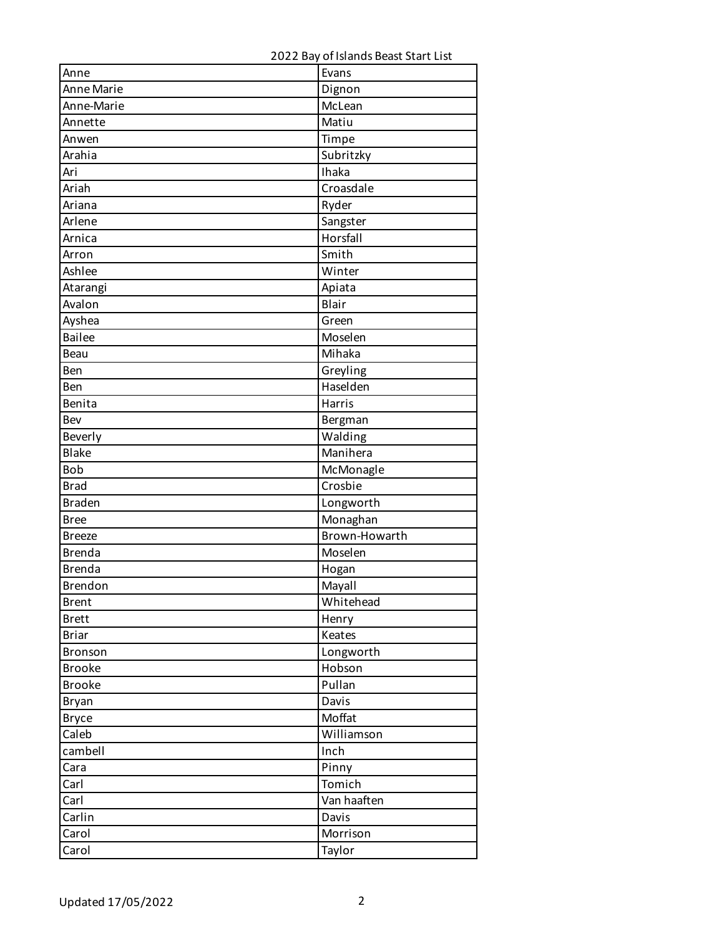| Anne              | Evans         |
|-------------------|---------------|
| <b>Anne Marie</b> | Dignon        |
| Anne-Marie        | McLean        |
| Annette           | Matiu         |
| Anwen             | Timpe         |
| Arahia            | Subritzky     |
| Ari               | <b>Thaka</b>  |
| Ariah             | Croasdale     |
| Ariana            | Ryder         |
| Arlene            | Sangster      |
| Arnica            | Horsfall      |
| Arron             | Smith         |
| Ashlee            | Winter        |
| Atarangi          | Apiata        |
| Avalon            | Blair         |
| Ayshea            | Green         |
| <b>Bailee</b>     | Moselen       |
| Beau              | Mihaka        |
| Ben               | Greyling      |
| Ben               | Haselden      |
| Benita            | Harris        |
| Bev               | Bergman       |
| Beverly           | Walding       |
| <b>Blake</b>      | Manihera      |
| <b>Bob</b>        | McMonagle     |
| <b>Brad</b>       | Crosbie       |
| <b>Braden</b>     | Longworth     |
| <b>Bree</b>       | Monaghan      |
| <b>Breeze</b>     | Brown-Howarth |
| <b>Brenda</b>     | Moselen       |
| <b>Brenda</b>     | Hogan         |
| Brendon           | Mayall        |
| <b>Brent</b>      | Whitehead     |
| <b>Brett</b>      | Henry         |
| <b>Briar</b>      | Keates        |
| Bronson           | Longworth     |
| <b>Brooke</b>     | Hobson        |
| <b>Brooke</b>     | Pullan        |
| Bryan             | Davis         |
| <b>Bryce</b>      | Moffat        |
| Caleb             | Williamson    |
| cambell           | Inch          |
| Cara              | Pinny         |
| Carl              | Tomich        |
| Carl              | Van haaften   |
| Carlin            | Davis         |
| Carol             | Morrison      |
| Carol             | Taylor        |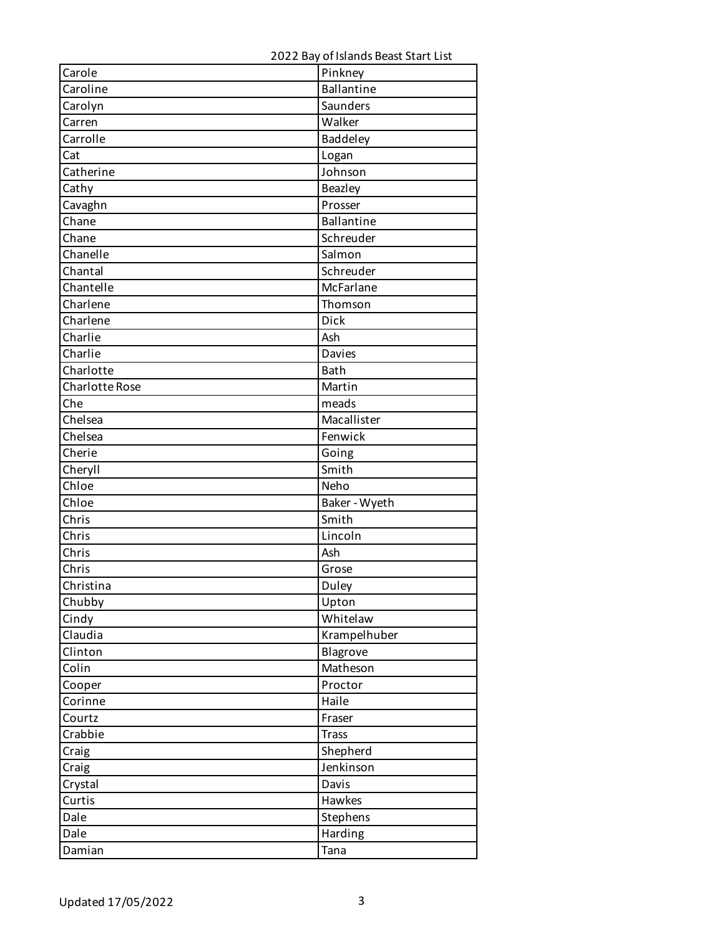| Carole                | Pinkney                     |
|-----------------------|-----------------------------|
| Caroline              | <b>Ballantine</b>           |
| Carolyn               | Saunders                    |
| Carren                | Walker                      |
| Carrolle              | Baddeley                    |
| Cat                   | Logan                       |
| Catherine             | Johnson                     |
| Cathy                 | Beazley                     |
| Cavaghn               | Prosser                     |
| Chane                 | <b>Ballantine</b>           |
| Chane                 | Schreuder                   |
| Chanelle              | Salmon                      |
| Chantal               | Schreuder                   |
| Chantelle             | McFarlane                   |
| Charlene              | Thomson                     |
| Charlene              | <b>Dick</b>                 |
| Charlie               | Ash                         |
| Charlie               | Davies                      |
| Charlotte             | <b>Bath</b>                 |
| <b>Charlotte Rose</b> | Martin                      |
| Che                   | meads                       |
| Chelsea               | Macallister                 |
| Chelsea               | Fenwick                     |
| Cherie                | Going                       |
| Cheryll               | $\overline{\mathsf{Smith}}$ |
| Chloe                 | Neho                        |
| Chloe                 | Baker - Wyeth               |
| Chris                 | $\overline{\mathsf{Smith}}$ |
| Chris                 | Lincoln                     |
| Chris                 | Ash                         |
| Chris                 | Grose                       |
| Christina             | Duley                       |
| Chubby                | Upton                       |
| Cindy                 | Whitelaw                    |
| Claudia               | Krampelhuber                |
| Clinton               | Blagrove                    |
| Colin                 | Matheson                    |
| Cooper                | Proctor                     |
| Corinne               | Haile                       |
| Courtz                | Fraser                      |
| Crabbie               | <b>Trass</b>                |
| Craig                 | Shepherd                    |
| Craig                 | Jenkinson                   |
| Crystal               | Davis                       |
| Curtis                | Hawkes                      |
| Dale                  | Stephens                    |
| Dale                  | Harding                     |
| Damian                | Tana                        |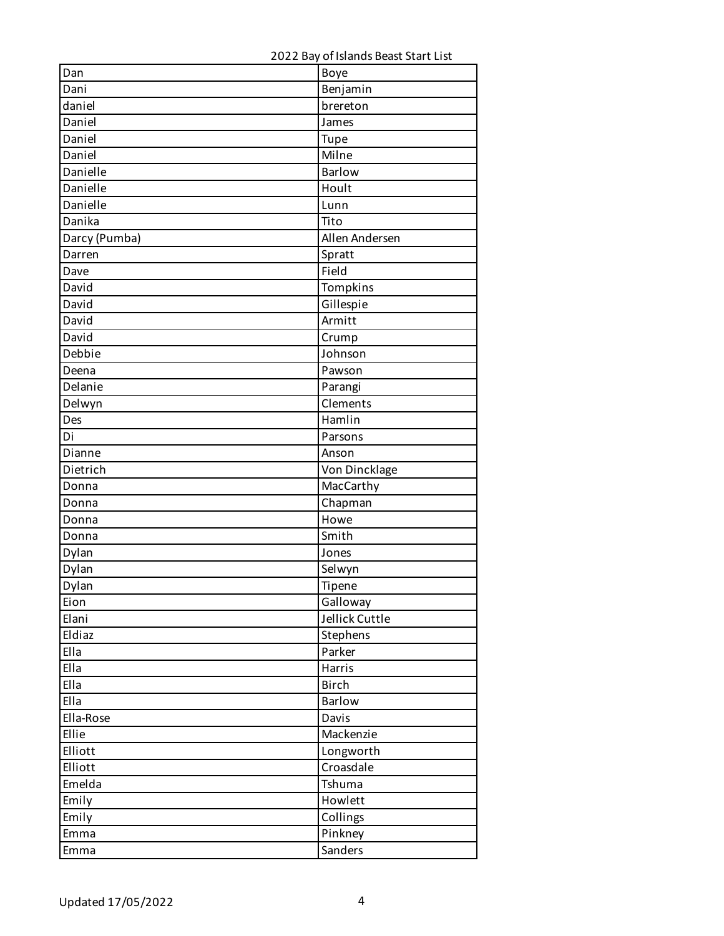| Dan           | Boye                 |
|---------------|----------------------|
| Dani          | Benjamin             |
| daniel        | brereton             |
| Daniel        | James                |
| Daniel        | Tupe                 |
| Daniel        | Milne                |
| Danielle      | <b>Barlow</b>        |
| Danielle      | Hoult                |
| Danielle      | Lunn                 |
| Danika        | Tito                 |
| Darcy (Pumba) | Allen Andersen       |
| Darren        | Spratt               |
| Dave          | Field                |
| David         | Tompkins             |
| David         | Gillespie            |
| David         | Armitt               |
| David         | Crump                |
| Debbie        | Johnson              |
| Deena         | Pawson               |
| Delanie       | Parangi              |
| Delwyn        | Clements             |
| Des           | $\overline{H}$ amlin |
| Di            | Parsons              |
| Dianne        | Anson                |
| Dietrich      | Von Dincklage        |
| Donna         | MacCarthy            |
| Donna         | Chapman              |
| Donna         | Howe                 |
| Donna         | Smith                |
| Dylan         | Jones                |
| Dylan         | Selwyn               |
| Dylan         | Tipene               |
| Eion          | Galloway             |
| Elani         | Jellick Cuttle       |
| Eldiaz        | Stephens             |
| Ella          | Parker               |
| Ella          | Harris               |
| Ella          | <b>Birch</b>         |
| Ella          | Barlow               |
| Ella-Rose     | Davis                |
| Ellie         | Mackenzie            |
| Elliott       | Longworth            |
| Elliott       | Croasdale            |
| Emelda        |                      |
|               | Tshuma               |
| Emily         | Howlett              |
| Emily         | Collings             |
| Emma          | Pinkney              |
| Emma          | Sanders              |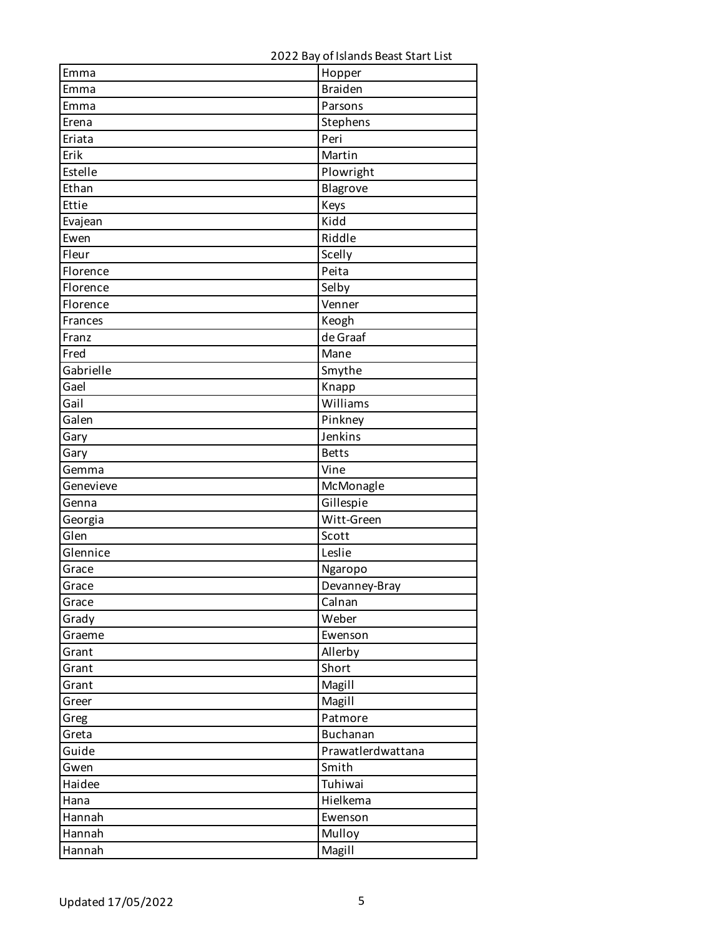| Emma      | Hopper            |
|-----------|-------------------|
| Emma      | <b>Braiden</b>    |
| Emma      | Parsons           |
| Erena     | Stephens          |
| Eriata    | Peri              |
| Erik      | Martin            |
| Estelle   | Plowright         |
| Ethan     | Blagrove          |
| Ettie     | Keys              |
| Evajean   | <b>Kidd</b>       |
| Ewen      | Riddle            |
| Fleur     | Scelly            |
| Florence  | Peita             |
| Florence  | Selby             |
| Florence  | Venner            |
| Frances   | Keogh             |
| Franz     | de Graaf          |
| Fred      | Mane              |
| Gabrielle | Smythe            |
| Gael      | Knapp             |
| Gail      | Williams          |
| Galen     | Pinkney           |
| Gary      | Jenkins           |
| Gary      | <b>Betts</b>      |
| Gemma     | Vine              |
| Genevieve | McMonagle         |
| Genna     | Gillespie         |
| Georgia   | Witt-Green        |
| Glen      | Scott             |
| Glennice  | Leslie            |
| Grace     | Ngaropo           |
| Grace     | Devanney-Bray     |
| Grace     | Calnan            |
| Grady     | Weber             |
| Graeme    | Ewenson           |
| Grant     | Allerby           |
| Grant     | Short             |
| Grant     | Magill            |
| Greer     | Magill            |
| Greg      | Patmore           |
| Greta     | Buchanan          |
| Guide     | Prawatlerdwattana |
| Gwen      | Smith             |
| Haidee    | Tuhiwai           |
| Hana      | Hielkema          |
| Hannah    | Ewenson           |
| Hannah    | Mulloy            |
| Hannah    | Magill            |
|           |                   |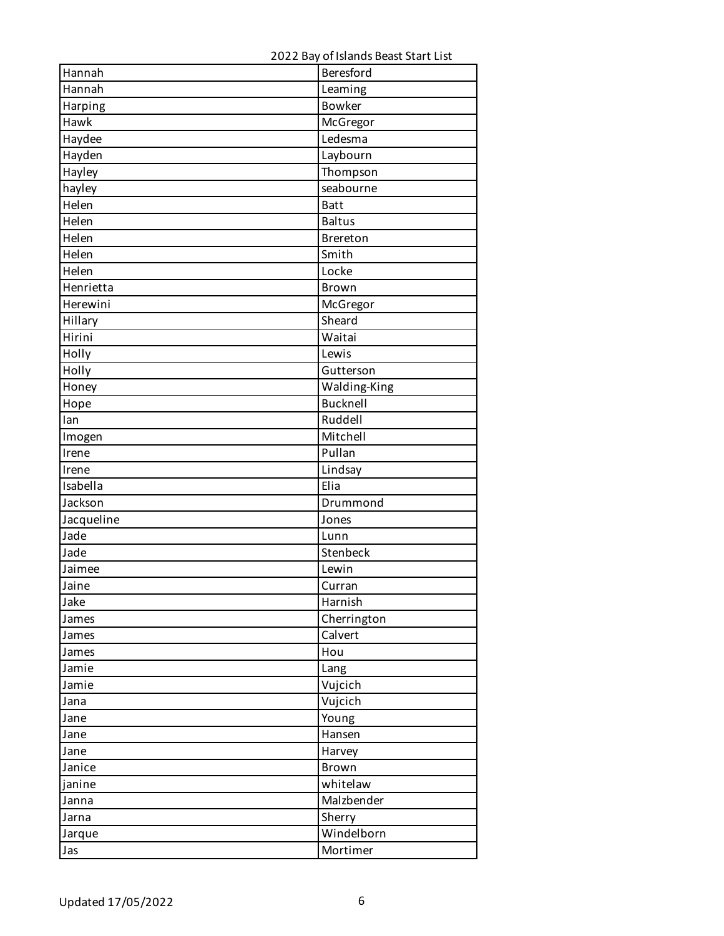| Hannah     | Beresford       |
|------------|-----------------|
| Hannah     | Leaming         |
| Harping    | <b>Bowker</b>   |
| Hawk       | McGregor        |
| Haydee     | Ledesma         |
| Hayden     | Laybourn        |
| Hayley     | Thompson        |
| hayley     | seabourne       |
| Helen      | <b>Batt</b>     |
| Helen      | <b>Baltus</b>   |
| Helen      | Brereton        |
| Helen      | Smith           |
| Helen      | Locke           |
| Henrietta  | Brown           |
| Herewini   | McGregor        |
| Hillary    | Sheard          |
| Hirini     | Waitai          |
| Holly      | Lewis           |
| Holly      | Gutterson       |
| Honey      | Walding-King    |
| Hope       | <b>Bucknell</b> |
| lan        | Ruddell         |
| Imogen     | Mitchell        |
| Irene      | Pullan          |
| Irene      | Lindsay         |
| Isabella   | Elia            |
| Jackson    | Drummond        |
| Jacqueline | Jones           |
| Jade       | Lunn            |
| Jade       | Stenbeck        |
| Jaimee     | Lewin           |
| Jaine      | Curran          |
| Jake       | Harnish         |
| James      | Cherrington     |
| James      | Calvert         |
| James      | Hou             |
| Jamie      | Lang            |
| Jamie      | Vujcich         |
| Jana       | Vujcich         |
| Jane       | Young           |
| Jane       | Hansen          |
| Jane       | Harvey          |
| Janice     | Brown           |
| janine     | whitelaw        |
| Janna      | Malzbender      |
| Jarna      | Sherry          |
| Jarque     | Windelborn      |
| Jas        | Mortimer        |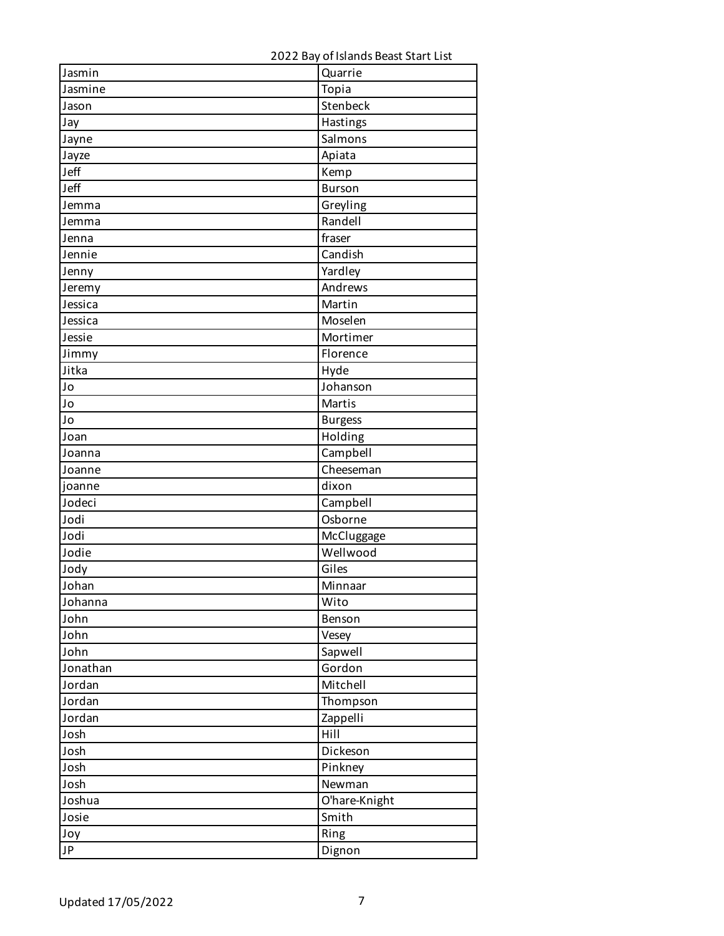| Jasmin   | Quarrie        |
|----------|----------------|
| Jasmine  | Topia          |
| Jason    | Stenbeck       |
| Jay      | Hastings       |
| Jayne    | Salmons        |
| Jayze    | Apiata         |
| Jeff     | Kemp           |
| Jeff     | <b>Burson</b>  |
| Jemma    | Greyling       |
| Jemma    | Randell        |
| Jenna    | fraser         |
| Jennie   | Candish        |
| Jenny    | Yardley        |
| Jeremy   | Andrews        |
| Jessica  | Martin         |
| Jessica  | Moselen        |
| Jessie   | Mortimer       |
| Jimmy    | Florence       |
| Jitka    | Hyde           |
| Jo       | Johanson       |
| Jo       | Martis         |
| Jo       | <b>Burgess</b> |
| Joan     | Holding        |
| Joanna   | Campbell       |
| Joanne   | Cheeseman      |
| joanne   | dixon          |
| Jodeci   | Campbell       |
| Jodi     | Osborne        |
| Jodi     | McCluggage     |
| Jodie    | Wellwood       |
| Jody     | Giles          |
| Johan    | Minnaar        |
| Johanna  | Wito           |
| John     | Benson         |
| John     | Vesey          |
| John     | Sapwell        |
| Jonathan | Gordon         |
| Jordan   | Mitchell       |
| Jordan   | Thompson       |
| Jordan   | Zappelli       |
| Josh     | Hill           |
| Josh     | Dickeson       |
| Josh     | Pinkney        |
| Josh     | Newman         |
| Joshua   | O'hare-Knight  |
| Josie    | Smith          |
| Joy      | Ring           |
| JP       | Dignon         |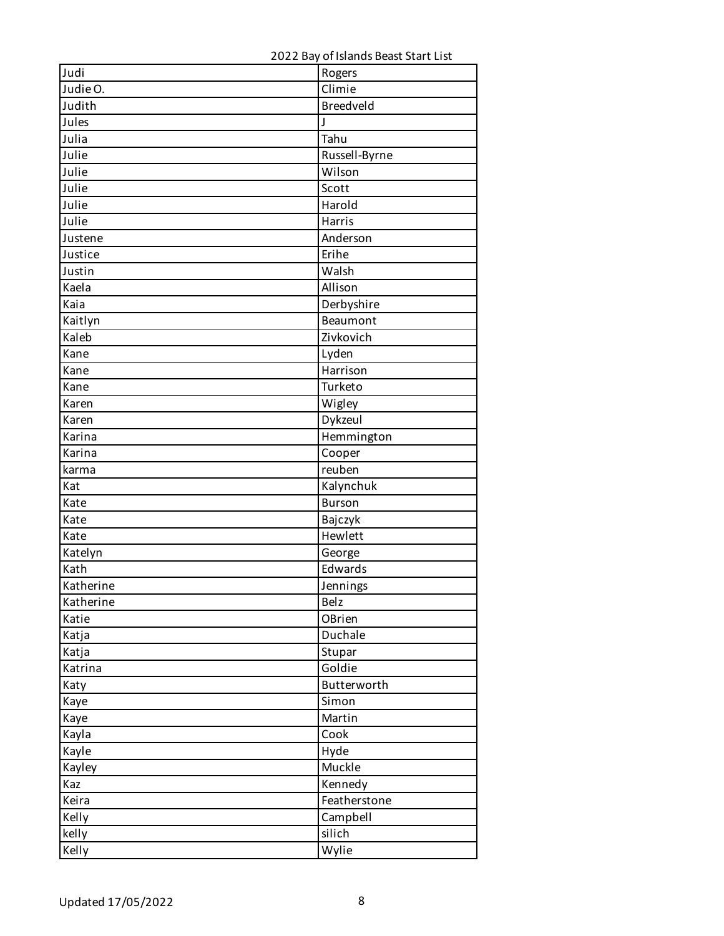| Judi      | Rogers        |
|-----------|---------------|
| Judie O.  | Climie        |
| Judith    | Breedveld     |
| Jules     | J             |
| Julia     | Tahu          |
| Julie     | Russell-Byrne |
| Julie     | Wilson        |
| Julie     | Scott         |
| Julie     | Harold        |
| Julie     | Harris        |
| Justene   | Anderson      |
| Justice   | Erihe         |
| Justin    | Walsh         |
| Kaela     | Allison       |
| Kaia      | Derbyshire    |
| Kaitlyn   | Beaumont      |
| Kaleb     | Zivkovich     |
| Kane      | Lyden         |
| Kane      | Harrison      |
| Kane      | Turketo       |
| Karen     | Wigley        |
| Karen     | Dykzeul       |
| Karina    | Hemmington    |
| Karina    | Cooper        |
| karma     | reuben        |
| Kat       | Kalynchuk     |
| Kate      | <b>Burson</b> |
| Kate      | Bajczyk       |
| Kate      | Hewlett       |
| Katelyn   | George        |
| Kath      | Edwards       |
| Katherine | Jennings      |
| Katherine | <b>Belz</b>   |
| Katie     | OBrien        |
| Katja     | Duchale       |
| Katja     | Stupar        |
| Katrina   | Goldie        |
| Katy      | Butterworth   |
| Kaye      | Simon         |
| Kaye      | Martin        |
| Kayla     | Cook          |
| Kayle     | Hyde          |
| Kayley    | Muckle        |
| Kaz       | Kennedy       |
| Keira     | Featherstone  |
| Kelly     | Campbell      |
| kelly     | silich        |
| Kelly     | Wylie         |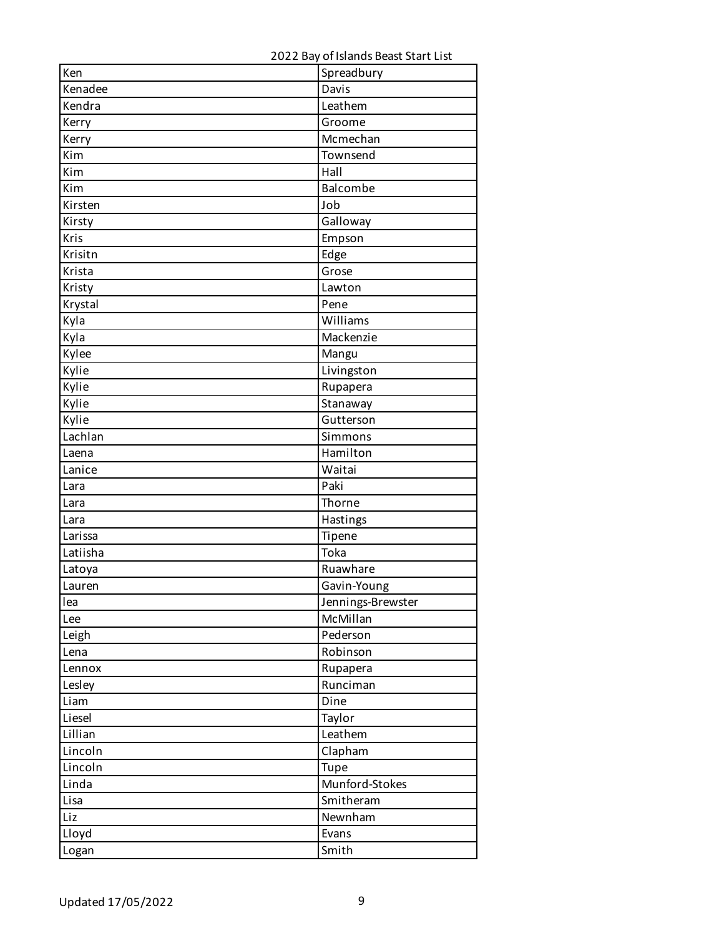| Ken      | Spreadbury        |
|----------|-------------------|
| Kenadee  | Davis             |
| Kendra   | Leathem           |
| Kerry    | Groome            |
| Kerry    | Mcmechan          |
| Kim      | Townsend          |
| Kim      | Hall              |
| Kim      | Balcombe          |
| Kirsten  | Job               |
| Kirsty   | Galloway          |
| Kris     | Empson            |
| Krisitn  | Edge              |
| Krista   | Grose             |
| Kristy   | Lawton            |
| Krystal  | Pene              |
| Kyla     | Williams          |
| Kyla     | Mackenzie         |
| Kylee    | Mangu             |
| Kylie    | Livingston        |
| Kylie    | Rupapera          |
| Kylie    | Stanaway          |
| Kylie    | Gutterson         |
| Lachlan  | Simmons           |
| Laena    | Hamilton          |
| Lanice   | Waitai            |
| Lara     | Paki              |
| Lara     | Thorne            |
| Lara     | Hastings          |
| Larissa  | Tipene            |
| Latiisha | Toka              |
| Latoya   | Ruawhare          |
| Lauren   | Gavin-Young       |
| lea      | Jennings-Brewster |
| Lee      | McMillan          |
| Leigh    | Pederson          |
| Lena     | Robinson          |
| Lennox   | Rupapera          |
| Lesley   | Runciman          |
| Liam     | Dine              |
| Liesel   | Taylor            |
| Lillian  | Leathem           |
| Lincoln  | Clapham           |
| Lincoln  | Tupe              |
| Linda    | Munford-Stokes    |
| Lisa     | Smitheram         |
| Liz      | Newnham           |
| Lloyd    | Evans             |
| Logan    | Smith             |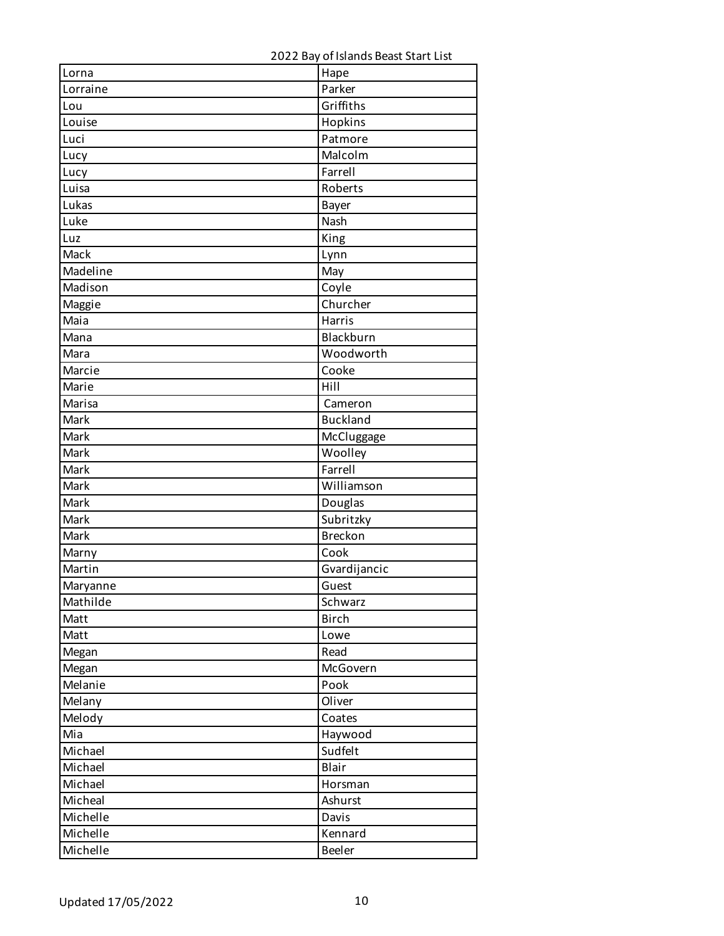| Lorna    | Hape            |
|----------|-----------------|
| Lorraine | Parker          |
| Lou      | Griffiths       |
| Louise   | Hopkins         |
| Luci     | Patmore         |
| Lucy     | Malcolm         |
| Lucy     | Farrell         |
| Luisa    | Roberts         |
| Lukas    | Bayer           |
| Luke     | Nash            |
| Luz      | King            |
| Mack     | Lynn            |
| Madeline | May             |
| Madison  | Coyle           |
| Maggie   | Churcher        |
| Maia     | Harris          |
| Mana     | Blackburn       |
| Mara     | Woodworth       |
| Marcie   | Cooke           |
| Marie    | Hill            |
| Marisa   | Cameron         |
| Mark     | <b>Buckland</b> |
| Mark     | McCluggage      |
| Mark     | Woolley         |
| Mark     | Farrell         |
| Mark     | Williamson      |
| Mark     | Douglas         |
| Mark     | Subritzky       |
| Mark     | <b>Breckon</b>  |
| Marny    | Cook            |
| Martin   | Gvardijancic    |
| Maryanne | Guest           |
| Mathilde | Schwarz         |
| Matt     | <b>Birch</b>    |
| Matt     | Lowe            |
| Megan    | Read            |
| Megan    | McGovern        |
| Melanie  | Pook            |
| Melany   | Oliver          |
| Melody   | Coates          |
| Mia      | Haywood         |
| Michael  | Sudfelt         |
| Michael  | Blair           |
| Michael  | Horsman         |
| Micheal  | Ashurst         |
| Michelle | Davis           |
| Michelle | Kennard         |
| Michelle | Beeler          |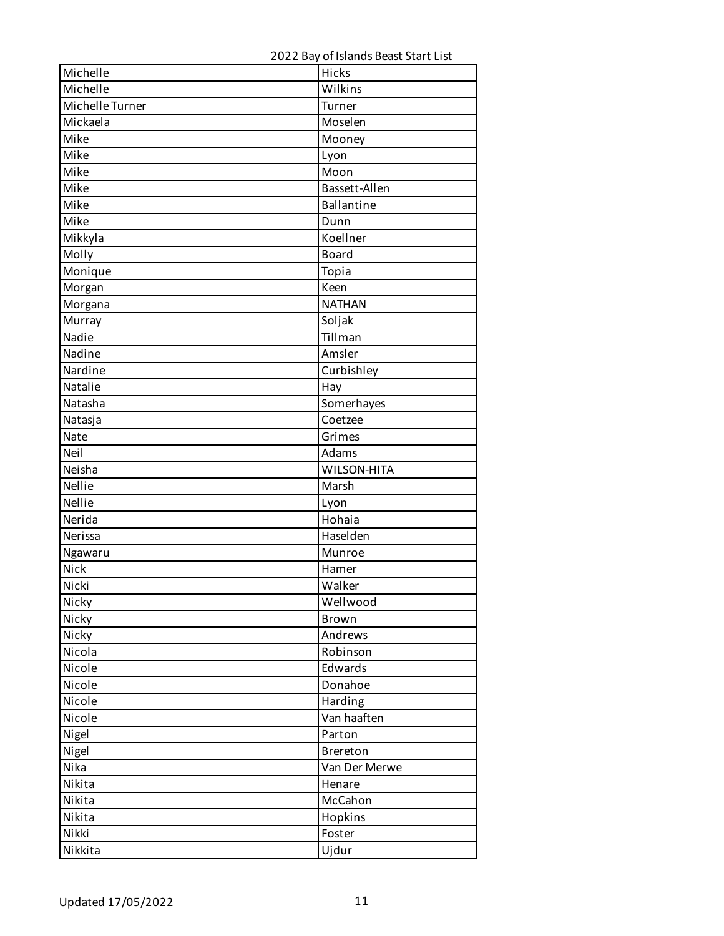| Michelle        | Hicks              |
|-----------------|--------------------|
| Michelle        | Wilkins            |
| Michelle Turner | Turner             |
| Mickaela        | Moselen            |
| Mike            | Mooney             |
| Mike            | Lyon               |
| Mike            | Moon               |
| Mike            | Bassett-Allen      |
| Mike            | <b>Ballantine</b>  |
| Mike            | Dunn               |
| Mikkyla         | Koellner           |
| Molly           | <b>Board</b>       |
| Monique         | Topia              |
| Morgan          | Keen               |
| Morgana         | <b>NATHAN</b>      |
| Murray          | Soljak             |
| Nadie           | Tillman            |
| Nadine          | Amsler             |
| Nardine         | Curbishley         |
| Natalie         | Hay                |
| Natasha         | Somerhayes         |
| Natasja         | Coetzee            |
| Nate            | Grimes             |
| Neil            | Adams              |
| Neisha          | <b>WILSON-HITA</b> |
| Nellie          | Marsh              |
| Nellie          | Lyon               |
| Nerida          | Hohaia             |
| Nerissa         | Haselden           |
| Ngawaru         | Munroe             |
| Nick            | Hamer              |
| Nicki           | Walker             |
| Nicky           | Wellwood           |
| Nicky           | Brown              |
| Nicky           | Andrews            |
| Nicola          | Robinson           |
| Nicole          | Edwards            |
| Nicole          | Donahoe            |
| Nicole          | Harding            |
| Nicole          | Van haaften        |
| Nigel           | Parton             |
| Nigel           | Brereton           |
| Nika            | Van Der Merwe      |
| Nikita          | Henare             |
| Nikita          | McCahon            |
| Nikita          | Hopkins            |
| Nikki           | Foster             |
| Nikkita         | Ujdur              |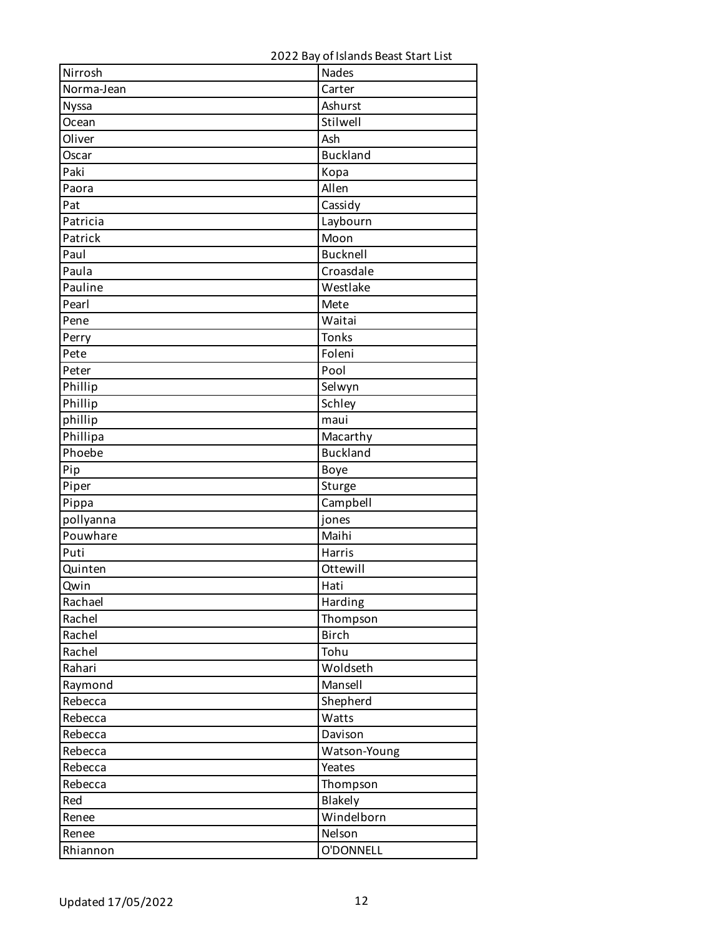| Nirrosh      | <b>Nades</b>    |
|--------------|-----------------|
| Norma-Jean   | Carter          |
| <b>Nyssa</b> | Ashurst         |
| Ocean        | Stilwell        |
| Oliver       | Ash             |
| Oscar        | <b>Buckland</b> |
| Paki         | Kopa            |
| Paora        | Allen           |
| Pat          | Cassidy         |
| Patricia     | Laybourn        |
| Patrick      | Moon            |
| Paul         | Bucknell        |
| Paula        | Croasdale       |
| Pauline      | Westlake        |
| Pearl        | Mete            |
| Pene         | Waitai          |
| Perry        | Tonks           |
| Pete         | Foleni          |
| Peter        | Pool            |
| Phillip      | Selwyn          |
| Phillip      | Schley          |
| phillip      | maui            |
| Phillipa     | Macarthy        |
| Phoebe       | <b>Buckland</b> |
| Pip          | Boye            |
| Piper        | Sturge          |
| Pippa        | Campbell        |
| pollyanna    | jones           |
| Pouwhare     | Maihi           |
| Puti         | Harris          |
| Quinten      | Ottewill        |
| Qwin         | Hati            |
| Rachael      | Harding         |
| Rachel       | Thompson        |
| Rachel       | <b>Birch</b>    |
| Rachel       | Tohu            |
| Rahari       | Woldseth        |
| Raymond      | Mansell         |
| Rebecca      | Shepherd        |
| Rebecca      | Watts           |
| Rebecca      | Davison         |
| Rebecca      | Watson-Young    |
| Rebecca      | Yeates          |
| Rebecca      | Thompson        |
| Red          | Blakely         |
| Renee        | Windelborn      |
| Renee        | Nelson          |
| Rhiannon     | O'DONNELL       |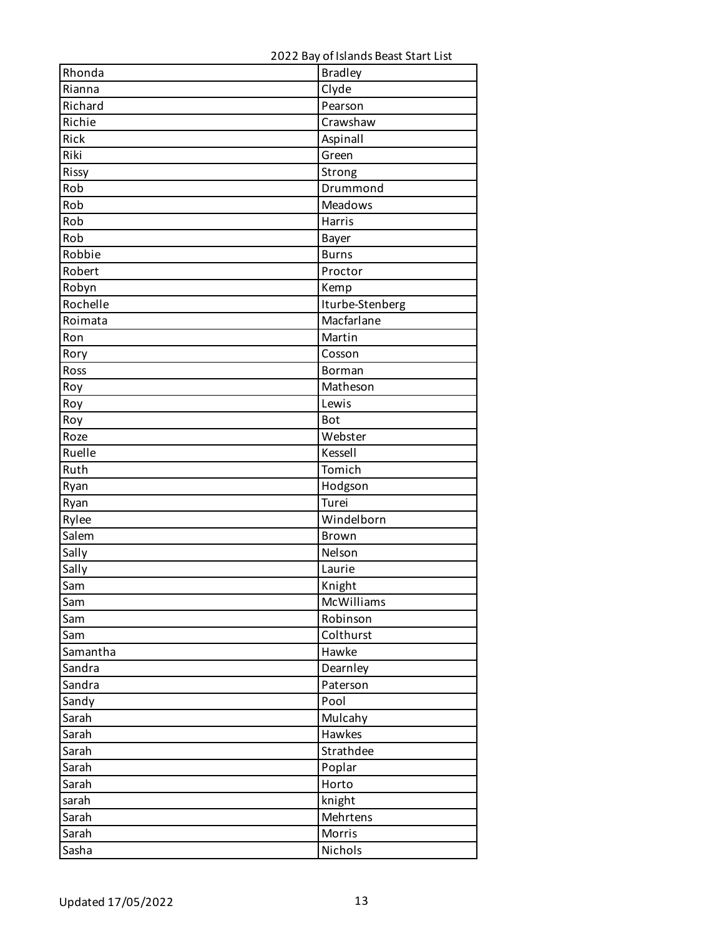| Rhonda   | <b>Bradley</b>  |
|----------|-----------------|
| Rianna   | Clyde           |
| Richard  | Pearson         |
| Richie   | Crawshaw        |
| Rick     | Aspinall        |
| Riki     | Green           |
| Rissy    | Strong          |
| Rob      | Drummond        |
| Rob      | <b>Meadows</b>  |
| Rob      | Harris          |
| Rob      | Bayer           |
| Robbie   | <b>Burns</b>    |
| Robert   | Proctor         |
| Robyn    | Kemp            |
| Rochelle | Iturbe-Stenberg |
| Roimata  | Macfarlane      |
| Ron      | Martin          |
| Rory     | Cosson          |
| Ross     | Borman          |
| Roy      | Matheson        |
| Roy      | Lewis           |
| Roy      | <b>Bot</b>      |
| Roze     | Webster         |
| Ruelle   | Kessell         |
| Ruth     | Tomich          |
| Ryan     | Hodgson         |
| Ryan     | Turei           |
| Rylee    | Windelborn      |
| Salem    | <b>Brown</b>    |
| Sally    | Nelson          |
| Sally    | Laurie          |
| Sam      | Knight          |
| Sam      | McWilliams      |
| Sam      | Robinson        |
| Sam      | Colthurst       |
| Samantha | Hawke           |
| Sandra   | Dearnley        |
| Sandra   | Paterson        |
| Sandy    | Pool            |
| Sarah    | Mulcahy         |
| Sarah    | Hawkes          |
| Sarah    | Strathdee       |
| Sarah    | Poplar          |
| Sarah    | Horto           |
| sarah    | knight          |
| Sarah    | Mehrtens        |
| Sarah    | Morris          |
| Sasha    | Nichols         |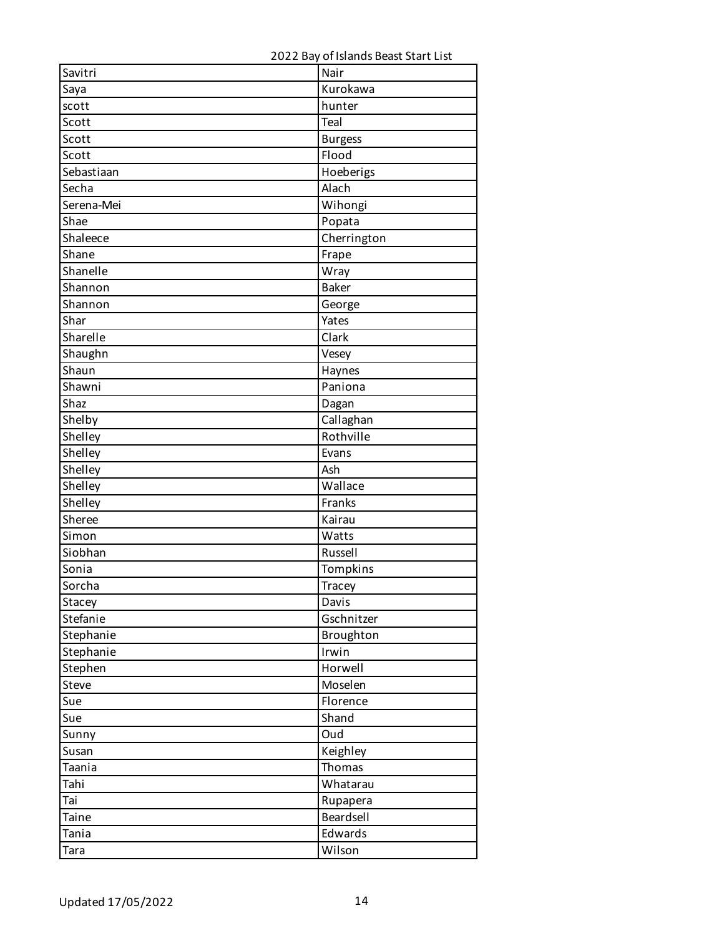| Savitri     | Nair           |
|-------------|----------------|
| Saya        | Kurokawa       |
| scott       | hunter         |
| Scott       | Teal           |
| Scott       | <b>Burgess</b> |
| Scott       | Flood          |
| Sebastiaan  | Hoeberigs      |
| Secha       | Alach          |
| Serena-Mei  | Wihongi        |
| Shae        | Popata         |
| Shaleece    | Cherrington    |
| Shane       | Frape          |
| Shanelle    | Wray           |
| Shannon     | <b>Baker</b>   |
| Shannon     | George         |
| Shar        | Yates          |
| Sharelle    | Clark          |
| Shaughn     | Vesey          |
| Shaun       | Haynes         |
| Shawni      | Paniona        |
| Shaz        | Dagan          |
| Shelby      | Callaghan      |
| Shelley     | Rothville      |
| Shelley     | Evans          |
| Shelley     | Ash            |
| Shelley     | Wallace        |
| Shelley     | Franks         |
| Sheree      | Kairau         |
| Simon       | Watts          |
| Siobhan     | Russell        |
| Sonia       | Tompkins       |
| Sorcha      | <b>Tracey</b>  |
| Stacey      | Davis          |
| Stefanie    | Gschnitzer     |
| Stephanie   | Broughton      |
| Stephanie   | Irwin          |
| Stephen     | Horwell        |
| Steve       | Moselen        |
| Sue         | Florence       |
| Sue         | Shand          |
| Sunny       | Oud            |
| Susan       | Keighley       |
| Taania      | Thomas         |
| Tahi        | Whatarau       |
| Tai         | Rupapera       |
| Taine       | Beardsell      |
| Tania       | Edwards        |
| <b>Tara</b> | Wilson         |
|             |                |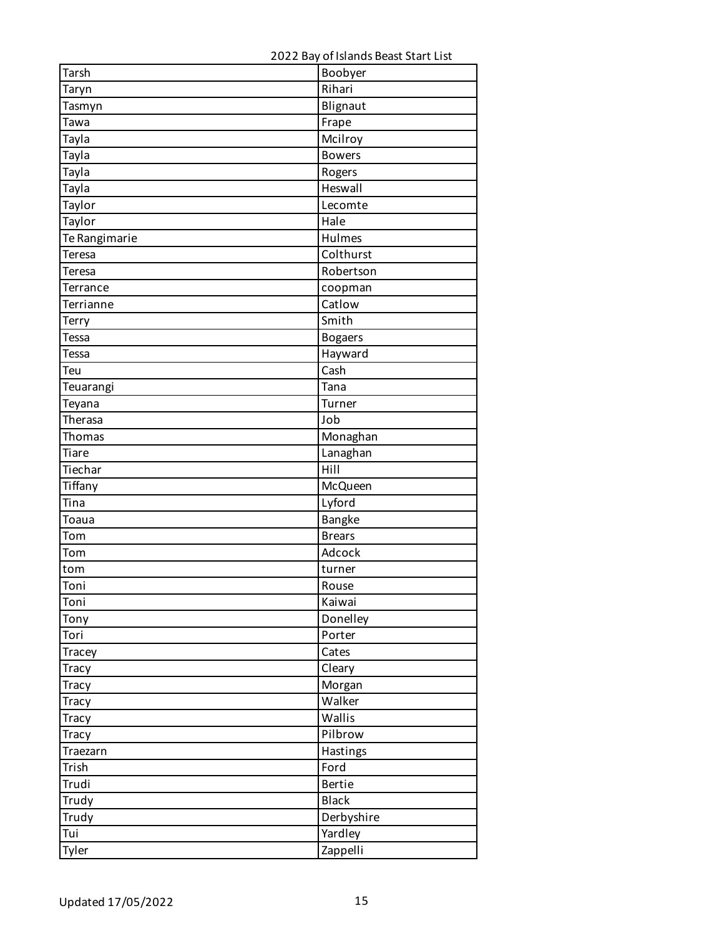| Tarsh         | Boobyer        |
|---------------|----------------|
| Taryn         | Rihari         |
| Tasmyn        | Blignaut       |
| Tawa          | Frape          |
| Tayla         | Mcilroy        |
| Tayla         | <b>Bowers</b>  |
| Tayla         | Rogers         |
| Tayla         | Heswall        |
| Taylor        | Lecomte        |
| Taylor        | Hale           |
| Te Rangimarie | Hulmes         |
| Teresa        | Colthurst      |
| <b>Teresa</b> | Robertson      |
| Terrance      | coopman        |
| Terrianne     | Catlow         |
| Terry         | Smith          |
| <b>Tessa</b>  | <b>Bogaers</b> |
| Tessa         | Hayward        |
| Teu           | Cash           |
| Teuarangi     | Tana           |
| Teyana        | Turner         |
| Therasa       | Job            |
| <b>Thomas</b> | Monaghan       |
| Tiare         | Lanaghan       |
| Tiechar       | Hill           |
| Tiffany       | McQueen        |
| Tina          | Lyford         |
| Toaua         | <b>Bangke</b>  |
| Tom           | <b>Brears</b>  |
| Tom           | Adcock         |
| tom           | turner         |
| Toni          | Rouse          |
| Toni          | Kaiwai         |
| Tony          | Donelley       |
| Tori          | Porter         |
| Tracey        | Cates          |
| <b>Tracy</b>  | Cleary         |
| <b>Tracy</b>  | Morgan         |
| <b>Tracy</b>  | Walker         |
| Tracy         | Wallis         |
| <b>Tracy</b>  | Pilbrow        |
| Traezarn      | Hastings       |
| Trish         | Ford           |
| Trudi         | <b>Bertie</b>  |
| Trudy         | <b>Black</b>   |
| Trudy         | Derbyshire     |
| Tui           | Yardley        |
| Tyler         | Zappelli       |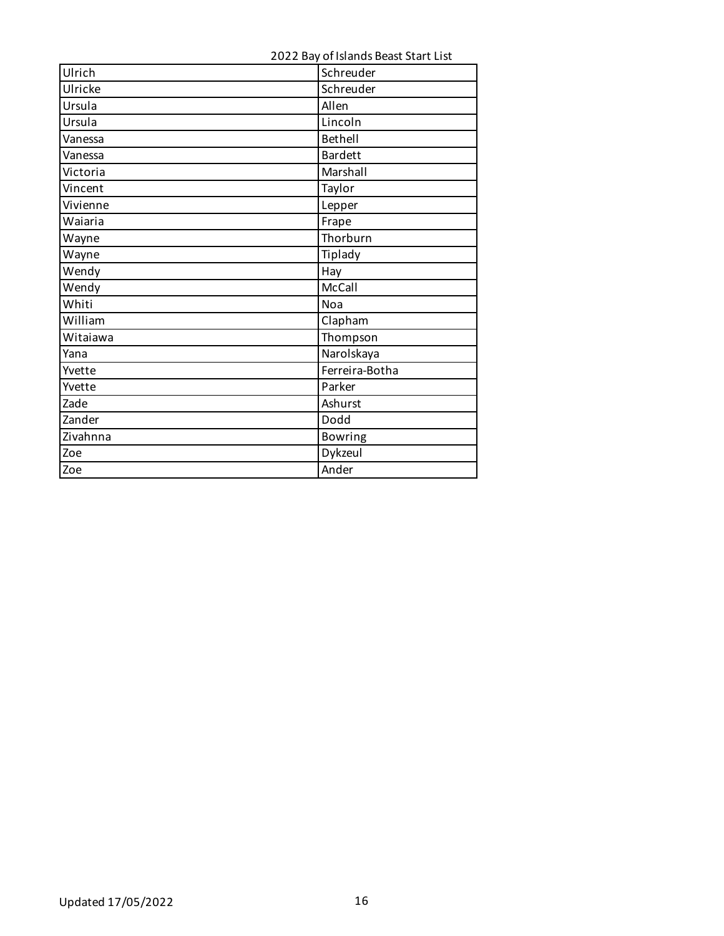| 2022 Bay of Islands Beast Start List |  |
|--------------------------------------|--|
|--------------------------------------|--|

| Ulrich   | Schreuder      |
|----------|----------------|
| Ulricke  | Schreuder      |
| Ursula   | Allen          |
| Ursula   | Lincoln        |
| Vanessa  | <b>Bethell</b> |
| Vanessa  | <b>Bardett</b> |
| Victoria | Marshall       |
| Vincent  | Taylor         |
| Vivienne | Lepper         |
| Waiaria  | Frape          |
| Wayne    | Thorburn       |
| Wayne    | Tiplady        |
| Wendy    | Hay            |
| Wendy    | McCall         |
| Whiti    | Noa            |
| William  | Clapham        |
| Witaiawa | Thompson       |
| Yana     | Narolskaya     |
| Yvette   | Ferreira-Botha |
| Yvette   | Parker         |
| Zade     | Ashurst        |
| Zander   | Dodd           |
| Zivahnna | <b>Bowring</b> |
| Zoe      | Dykzeul        |
| Zoe      | Ander          |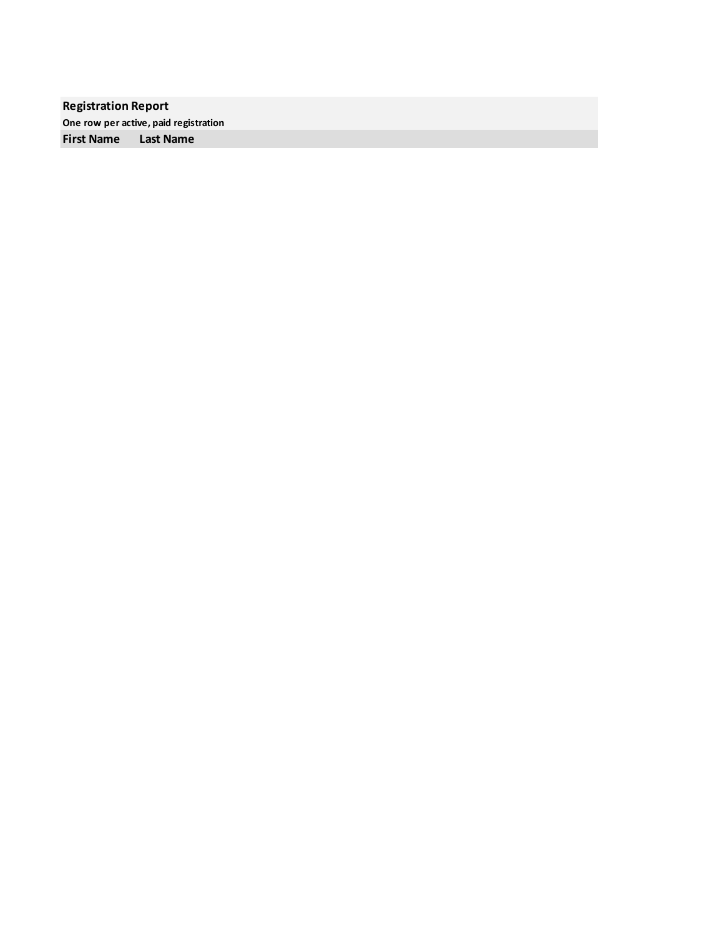**Registration Report One row per active, paid registration First Name Last Name**